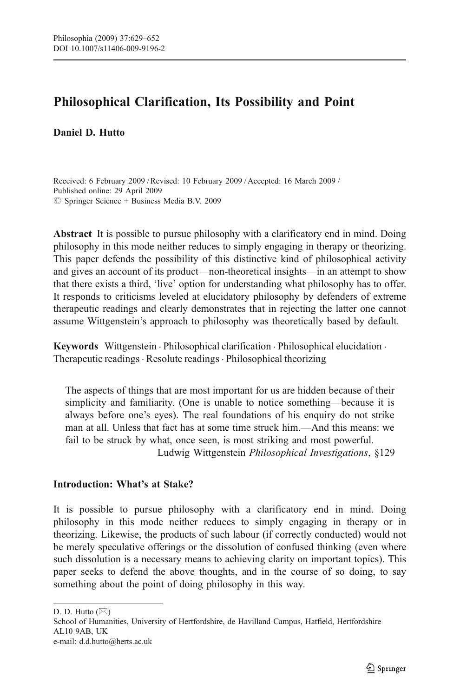# <span id="page-0-0"></span>Philosophical Clarification, Its Possibility and Point

## Daniel D. Hutto

Received: 6 February 2009 /Revised: 10 February 2009 / Accepted: 16 March 2009 / Published online: 29 April 2009  $\oslash$  Springer Science + Business Media B.V. 2009

Abstract It is possible to pursue philosophy with a clarificatory end in mind. Doing philosophy in this mode neither reduces to simply engaging in therapy or theorizing. This paper defends the possibility of this distinctive kind of philosophical activity and gives an account of its product—non-theoretical insights—in an attempt to show that there exists a third, 'live' option for understanding what philosophy has to offer. It responds to criticisms leveled at elucidatory philosophy by defenders of extreme therapeutic readings and clearly demonstrates that in rejecting the latter one cannot assume Wittgenstein's approach to philosophy was theoretically based by default.

Keywords Wittgenstein . Philosophical clarification . Philosophical elucidation . Therapeutic readings · Resolute readings · Philosophical theorizing

The aspects of things that are most important for us are hidden because of their simplicity and familiarity. (One is unable to notice something—because it is always before one's eyes). The real foundations of his enquiry do not strike man at all. Unless that fact has at some time struck him.—And this means: we fail to be struck by what, once seen, is most striking and most powerful. Ludwig Wittgenstein Philosophical Investigations, §129

### Introduction: What*'*s at Stake?

It is possible to pursue philosophy with a clarificatory end in mind. Doing philosophy in this mode neither reduces to simply engaging in therapy or in theorizing. Likewise, the products of such labour (if correctly conducted) would not be merely speculative offerings or the dissolution of confused thinking (even where such dissolution is a necessary means to achieving clarity on important topics). This paper seeks to defend the above thoughts, and in the course of so doing, to say something about the point of doing philosophy in this way.

D. D. Hutto  $(\boxtimes)$ 

School of Humanities, University of Hertfordshire, de Havilland Campus, Hatfield, Hertfordshire AL10 9AB, UK

e-mail: d.d.hutto@herts.ac.uk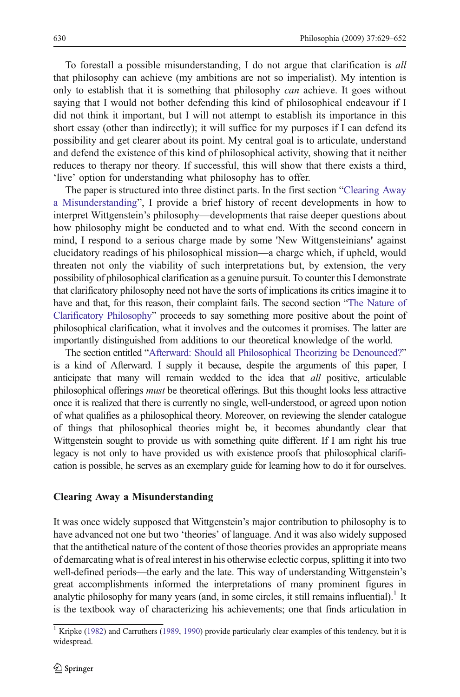To forestall a possible misunderstanding, I do not argue that clarification is all that philosophy can achieve (my ambitions are not so imperialist). My intention is only to establish that it is something that philosophy *can* achieve. It goes without saying that I would not bother defending this kind of philosophical endeavour if I did not think it important, but I will not attempt to establish its importance in this short essay (other than indirectly); it will suffice for my purposes if I can defend its possibility and get clearer about its point. My central goal is to articulate, understand and defend the existence of this kind of philosophical activity, showing that it neither reduces to therapy nor theory. If successful, this will show that there exists a third, 'live' option for understanding what philosophy has to offer.

The paper is structured into three distinct parts. In the first section "Clearing Away a Misunderstanding", I provide a brief history of recent developments in how to interpret Wittgenstein's philosophy—developments that raise deeper questions about how philosophy might be conducted and to what end. With the second concern in mind, I respond to a serious charge made by some 'New Wittgensteinians' against elucidatory readings of his philosophical mission—a charge which, if upheld, would threaten not only the viability of such interpretations but, by extension, the very possibility of philosophical clarification as a genuine pursuit. To counter this I demonstrate that clarificatory philosophy need not have the sorts of implications its critics imagine it to have and that, for this reason, their complaint fails. The second section "[The Nature of](#page-9-0) [Clarificatory Philosophy](#page-9-0)" proceeds to say something more positive about the point of philosophical clarification, what it involves and the outcomes it promises. The latter are importantly distinguished from additions to our theoretical knowledge of the world.

The section entitled "[Afterward: Should all Philosophical Theorizing be Denounced?](#page-15-0)" is a kind of Afterward. I supply it because, despite the arguments of this paper, I anticipate that many will remain wedded to the idea that *all* positive, articulable philosophical offerings must be theoretical offerings. But this thought looks less attractive once it is realized that there is currently no single, well-understood, or agreed upon notion of what qualifies as a philosophical theory. Moreover, on reviewing the slender catalogue of things that philosophical theories might be, it becomes abundantly clear that Wittgenstein sought to provide us with something quite different. If I am right his true legacy is not only to have provided us with existence proofs that philosophical clarification is possible, he serves as an exemplary guide for learning how to do it for ourselves.

#### Clearing Away a Misunderstanding

It was once widely supposed that Wittgenstein's major contribution to philosophy is to have advanced not one but two 'theories' of language. And it was also widely supposed that the antithetical nature of the content of those theories provides an appropriate means of demarcating what is of real interest in his otherwise eclectic corpus, splitting it into two well-defined periods—the early and the late. This way of understanding Wittgenstein's great accomplishments informed the interpretations of many prominent figures in analytic philosophy for many years (and, in some circles, it still remains influential).<sup>1</sup> It is the textbook way of characterizing his achievements; one that finds articulation in

<sup>&</sup>lt;sup>1</sup> Kripke ([1982\)](#page-23-0) and Carruthers [\(1989](#page-22-0), [1990](#page-22-0)) provide particularly clear examples of this tendency, but it is widespread.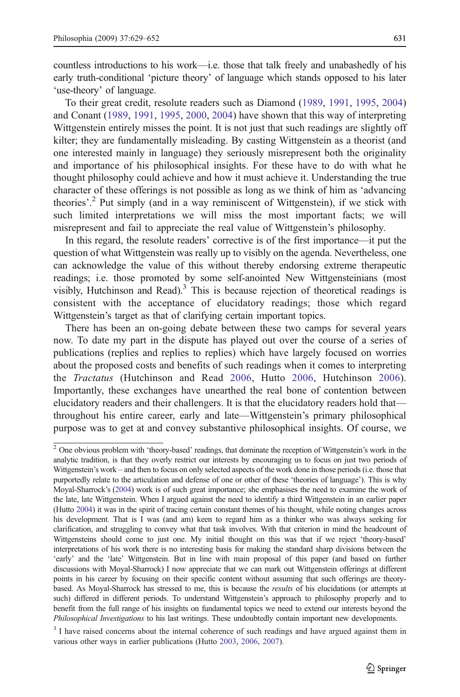countless introductions to his work—i.e. those that talk freely and unabashedly of his early truth-conditional 'picture theory' of language which stands opposed to his later 'use-theory' of language.

To their great credit, resolute readers such as Diamond ([1989,](#page-23-0) [1991](#page-23-0), [1995,](#page-23-0) [2004](#page-23-0)) and Conant [\(1989](#page-22-0), [1991](#page-22-0), [1995,](#page-22-0) [2000,](#page-22-0) [2004\)](#page-22-0) have shown that this way of interpreting Wittgenstein entirely misses the point. It is not just that such readings are slightly off kilter; they are fundamentally misleading. By casting Wittgenstein as a theorist (and one interested mainly in language) they seriously misrepresent both the originality and importance of his philosophical insights. For these have to do with what he thought philosophy could achieve and how it must achieve it. Understanding the true character of these offerings is not possible as long as we think of him as 'advancing theories'. <sup>2</sup> Put simply (and in a way reminiscent of Wittgenstein), if we stick with such limited interpretations we will miss the most important facts; we will misrepresent and fail to appreciate the real value of Wittgenstein's philosophy.

In this regard, the resolute readers' corrective is of the first importance—it put the question of what Wittgenstein was really up to visibly on the agenda. Nevertheless, one can acknowledge the value of this without thereby endorsing extreme therapeutic readings; i.e. those promoted by some self-anointed New Wittgensteinians (most visibly, Hutchinson and Read). $3$  This is because rejection of theoretical readings is consistent with the acceptance of elucidatory readings; those which regard Wittgenstein's target as that of clarifying certain important topics.

There has been an on-going debate between these two camps for several years now. To date my part in the dispute has played out over the course of a series of publications (replies and replies to replies) which have largely focused on worries about the proposed costs and benefits of such readings when it comes to interpreting the Tractatus (Hutchinson and Read [2006](#page-23-0), Hutto [2006,](#page-23-0) Hutchinson [2006\)](#page-23-0). Importantly, these exchanges have unearthed the real bone of contention between elucidatory readers and their challengers. It is that the elucidatory readers hold that throughout his entire career, early and late—Wittgenstein's primary philosophical purpose was to get at and convey substantive philosophical insights. Of course, we

<sup>&</sup>lt;sup>2</sup> One obvious problem with 'theory-based' readings, that dominate the reception of Wittgenstein's work in the analytic tradition, is that they overly restrict our interests by encouraging us to focus on just two periods of Wittgenstein's work – and then to focus on only selected aspects of the work done in those periods (i.e. those that purportedly relate to the articulation and defense of one or other of these 'theories of language'). This is why Moyal-Sharrock's [\(2004](#page-23-0)) work is of such great importance; she emphasises the need to examine the work of the late, late Wittgenstein. When I argued against the need to identify a third Wittgenstein in an earlier paper (Hutto [2004](#page-23-0)) it was in the spirit of tracing certain constant themes of his thought, while noting changes across his development. That is I was (and am) keen to regard him as a thinker who was always seeking for clarification, and struggling to convey what that task involves. With that criterion in mind the headcount of Wittgensteins should come to just one. My initial thought on this was that if we reject 'theory-based' interpretations of his work there is no interesting basis for making the standard sharp divisions between the 'early' and the 'late' Wittgenstein. But in line with main proposal of this paper (and based on further discussions with Moyal-Sharrock) I now appreciate that we can mark out Wittgenstein offerings at different points in his career by focusing on their specific content without assuming that such offerings are theorybased. As Moyal-Sharrock has stressed to me, this is because the results of his elucidations (or attempts at such) differed in different periods. To understand Wittgenstein's approach to philosophy properly and to benefit from the full range of his insights on fundamental topics we need to extend our interests beyond the Philosophical Investigations to his last writings. These undoubtedly contain important new developments.

<sup>&</sup>lt;sup>3</sup> I have raised concerns about the internal coherence of such readings and have argued against them in various other ways in earlier publications (Hutto [2003,](#page-23-0) [2006](#page-23-0), [2007\)](#page-23-0).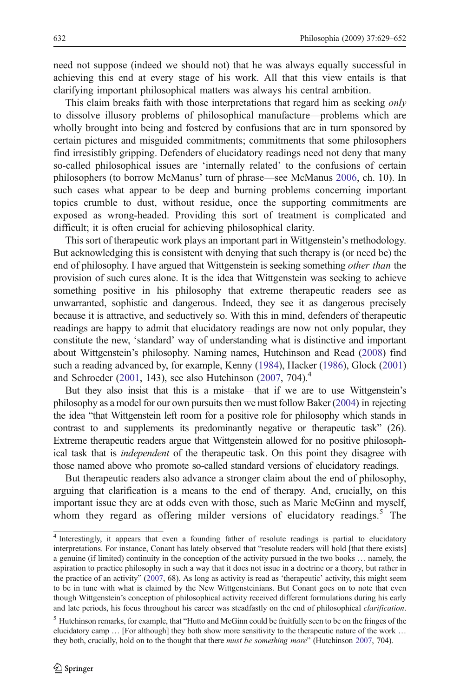need not suppose (indeed we should not) that he was always equally successful in achieving this end at every stage of his work. All that this view entails is that clarifying important philosophical matters was always his central ambition.

This claim breaks faith with those interpretations that regard him as seeking only to dissolve illusory problems of philosophical manufacture—problems which are wholly brought into being and fostered by confusions that are in turn sponsored by certain pictures and misguided commitments; commitments that some philosophers find irresistibly gripping. Defenders of elucidatory readings need not deny that many so-called philosophical issues are 'internally related' to the confusions of certain philosophers (to borrow McManus' turn of phrase—see McManus [2006](#page-23-0), ch. 10). In such cases what appear to be deep and burning problems concerning important topics crumble to dust, without residue, once the supporting commitments are exposed as wrong-headed. Providing this sort of treatment is complicated and difficult; it is often crucial for achieving philosophical clarity.

This sort of therapeutic work plays an important part in Wittgenstein's methodology. But acknowledging this is consistent with denying that such therapy is (or need be) the end of philosophy. I have argued that Wittgenstein is seeking something *other than* the provision of such cures alone. It is the idea that Wittgenstein was seeking to achieve something positive in his philosophy that extreme therapeutic readers see as unwarranted, sophistic and dangerous. Indeed, they see it as dangerous precisely because it is attractive, and seductively so. With this in mind, defenders of therapeutic readings are happy to admit that elucidatory readings are now not only popular, they constitute the new, 'standard' way of understanding what is distinctive and important about Wittgenstein's philosophy. Naming names, Hutchinson and Read [\(2008\)](#page-23-0) find such a reading advanced by, for example, Kenny ([1984](#page-23-0)), Hacker [\(1986\)](#page-23-0), Glock [\(2001](#page-23-0)) and Schroeder [\(2001,](#page-23-0) 143), see also Hutchinson ([2007](#page-23-0), 704).<sup>4</sup>

But they also insist that this is a mistake—that if we are to use Wittgenstein's philosophy as a model for our own pursuits then we must follow Baker [\(2004\)](#page-22-0) in rejecting the idea "that Wittgenstein left room for a positive role for philosophy which stands in contrast to and supplements its predominantly negative or therapeutic task" (26). Extreme therapeutic readers argue that Wittgenstein allowed for no positive philosophical task that is independent of the therapeutic task. On this point they disagree with those named above who promote so-called standard versions of elucidatory readings.

But therapeutic readers also advance a stronger claim about the end of philosophy, arguing that clarification is a means to the end of therapy. And, crucially, on this important issue they are at odds even with those, such as Marie McGinn and myself, whom they regard as offering milder versions of elucidatory readings.<sup>5</sup> The

<sup>4</sup> Interestingly, it appears that even a founding father of resolute readings is partial to elucidatory interpretations. For instance, Conant has lately observed that "resolute readers will hold [that there exists] a genuine (if limited) continuity in the conception of the activity pursued in the two books … namely, the aspiration to practice philosophy in such a way that it does not issue in a doctrine or a theory, but rather in the practice of an activity" [\(2007,](#page-23-0) 68). As long as activity is read as 'therapeutic' activity, this might seem to be in tune with what is claimed by the New Wittgensteinians. But Conant goes on to note that even though Wittgenstein's conception of philosophical activity received different formulations during his early and late periods, his focus throughout his career was steadfastly on the end of philosophical *clarification*.

<sup>5</sup> Hutchinson remarks, for example, that "Hutto and McGinn could be fruitfully seen to be on the fringes of the elucidatory camp ... [For although] they both show more sensitivity to the therapeutic nature of the work ... they both, crucially, hold on to the thought that there *must be something more*" (Hutchinson [2007](#page-23-0), 704).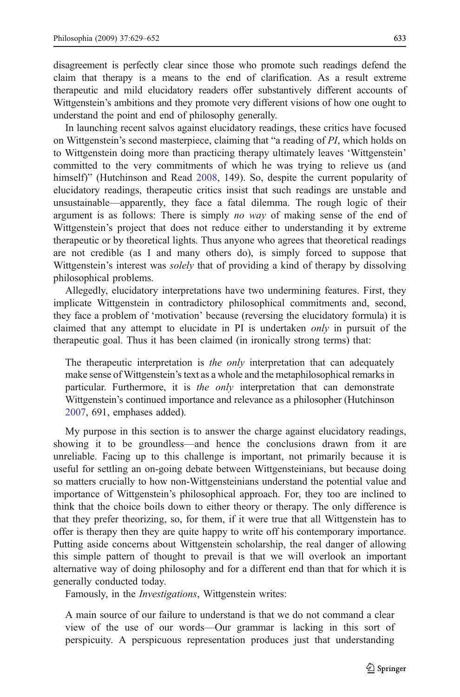disagreement is perfectly clear since those who promote such readings defend the claim that therapy is a means to the end of clarification. As a result extreme therapeutic and mild elucidatory readers offer substantively different accounts of Wittgenstein's ambitions and they promote very different visions of how one ought to understand the point and end of philosophy generally.

In launching recent salvos against elucidatory readings, these critics have focused on Wittgenstein's second masterpiece, claiming that "a reading of PI, which holds on to Wittgenstein doing more than practicing therapy ultimately leaves 'Wittgenstein' committed to the very commitments of which he was trying to relieve us (and himself)" (Hutchinson and Read [2008,](#page-23-0) 149). So, despite the current popularity of elucidatory readings, therapeutic critics insist that such readings are unstable and unsustainable—apparently, they face a fatal dilemma. The rough logic of their argument is as follows: There is simply *no way* of making sense of the end of Wittgenstein's project that does not reduce either to understanding it by extreme therapeutic or by theoretical lights. Thus anyone who agrees that theoretical readings are not credible (as I and many others do), is simply forced to suppose that Wittgenstein's interest was *solely* that of providing a kind of therapy by dissolving philosophical problems.

Allegedly, elucidatory interpretations have two undermining features. First, they implicate Wittgenstein in contradictory philosophical commitments and, second, they face a problem of 'motivation' because (reversing the elucidatory formula) it is claimed that any attempt to elucidate in PI is undertaken only in pursuit of the therapeutic goal. Thus it has been claimed (in ironically strong terms) that:

The therapeutic interpretation is the only interpretation that can adequately make sense of Wittgenstein's text as a whole and the metaphilosophical remarks in particular. Furthermore, it is the only interpretation that can demonstrate Wittgenstein's continued importance and relevance as a philosopher (Hutchinson [2007,](#page-23-0) 691, emphases added).

My purpose in this section is to answer the charge against elucidatory readings, showing it to be groundless—and hence the conclusions drawn from it are unreliable. Facing up to this challenge is important, not primarily because it is useful for settling an on-going debate between Wittgensteinians, but because doing so matters crucially to how non-Wittgensteinians understand the potential value and importance of Wittgenstein's philosophical approach. For, they too are inclined to think that the choice boils down to either theory or therapy. The only difference is that they prefer theorizing, so, for them, if it were true that all Wittgenstein has to offer is therapy then they are quite happy to write off his contemporary importance. Putting aside concerns about Wittgenstein scholarship, the real danger of allowing this simple pattern of thought to prevail is that we will overlook an important alternative way of doing philosophy and for a different end than that for which it is generally conducted today.

Famously, in the Investigations, Wittgenstein writes:

A main source of our failure to understand is that we do not command a clear view of the use of our words—Our grammar is lacking in this sort of perspicuity. A perspicuous representation produces just that understanding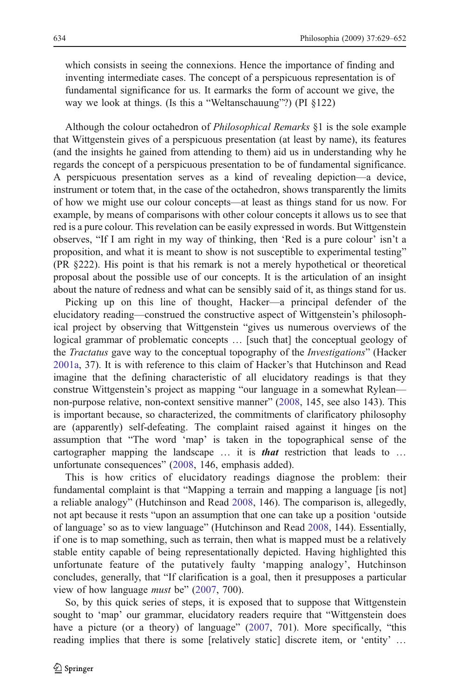which consists in seeing the connexions. Hence the importance of finding and inventing intermediate cases. The concept of a perspicuous representation is of fundamental significance for us. It earmarks the form of account we give, the way we look at things. (Is this a "Weltanschauung"?) (PI §122)

Although the colour octahedron of Philosophical Remarks §1 is the sole example that Wittgenstein gives of a perspicuous presentation (at least by name), its features (and the insights he gained from attending to them) aid us in understanding why he regards the concept of a perspicuous presentation to be of fundamental significance. A perspicuous presentation serves as a kind of revealing depiction—a device, instrument or totem that, in the case of the octahedron, shows transparently the limits of how we might use our colour concepts—at least as things stand for us now. For example, by means of comparisons with other colour concepts it allows us to see that red is a pure colour. This revelation can be easily expressed in words. But Wittgenstein observes, "If I am right in my way of thinking, then 'Red is a pure colour' isn't a proposition, and what it is meant to show is not susceptible to experimental testing" (PR §222). His point is that his remark is not a merely hypothetical or theoretical proposal about the possible use of our concepts. It is the articulation of an insight about the nature of redness and what can be sensibly said of it, as things stand for us.

Picking up on this line of thought, Hacker—a principal defender of the elucidatory reading—construed the constructive aspect of Wittgenstein's philosophical project by observing that Wittgenstein "gives us numerous overviews of the logical grammar of problematic concepts … [such that] the conceptual geology of the *Tractatus* gave way to the conceptual topography of the *Investigations*" (Hacker [2001a](#page-23-0), 37). It is with reference to this claim of Hacker's that Hutchinson and Read imagine that the defining characteristic of all elucidatory readings is that they construe Wittgenstein's project as mapping "our language in a somewhat Rylean non-purpose relative, non-context sensitive manner" ([2008,](#page-23-0) 145, see also 143). This is important because, so characterized, the commitments of clarificatory philosophy are (apparently) self-defeating. The complaint raised against it hinges on the assumption that "The word 'map' is taken in the topographical sense of the cartographer mapping the landscape ... it is **that** restriction that leads to ... unfortunate consequences" [\(2008](#page-23-0), 146, emphasis added).

This is how critics of elucidatory readings diagnose the problem: their fundamental complaint is that "Mapping a terrain and mapping a language [is not] a reliable analogy" (Hutchinson and Read [2008,](#page-23-0) 146). The comparison is, allegedly, not apt because it rests "upon an assumption that one can take up a position 'outside of language' so as to view language" (Hutchinson and Read [2008](#page-23-0), 144). Essentially, if one is to map something, such as terrain, then what is mapped must be a relatively stable entity capable of being representationally depicted. Having highlighted this unfortunate feature of the putatively faulty 'mapping analogy', Hutchinson concludes, generally, that "If clarification is a goal, then it presupposes a particular view of how language *must* be" ([2007,](#page-23-0) 700).

So, by this quick series of steps, it is exposed that to suppose that Wittgenstein sought to 'map' our grammar, elucidatory readers require that "Wittgenstein does have a picture (or a theory) of language" ([2007,](#page-23-0) 701). More specifically, "this reading implies that there is some [relatively static] discrete item, or 'entity' …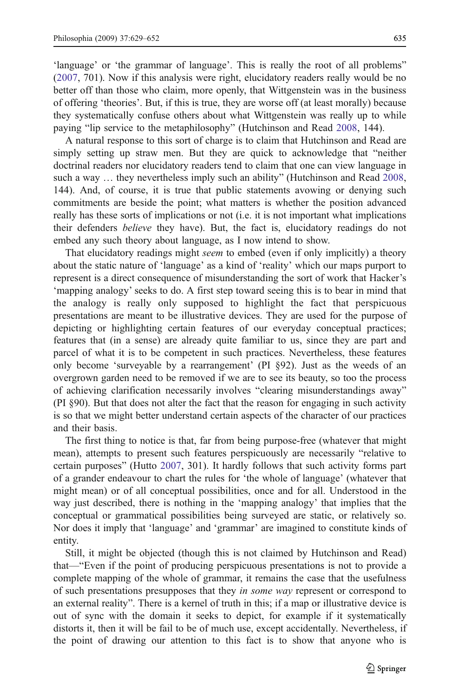'language' or 'the grammar of language'. This is really the root of all problems" [\(2007](#page-23-0), 701). Now if this analysis were right, elucidatory readers really would be no better off than those who claim, more openly, that Wittgenstein was in the business of offering 'theories'. But, if this is true, they are worse off (at least morally) because they systematically confuse others about what Wittgenstein was really up to while paying "lip service to the metaphilosophy" (Hutchinson and Read [2008](#page-23-0), 144).

A natural response to this sort of charge is to claim that Hutchinson and Read are simply setting up straw men. But they are quick to acknowledge that "neither doctrinal readers nor elucidatory readers tend to claim that one can view language in such a way … they nevertheless imply such an ability" (Hutchinson and Read [2008,](#page-23-0) 144). And, of course, it is true that public statements avowing or denying such commitments are beside the point; what matters is whether the position advanced really has these sorts of implications or not (i.e. it is not important what implications their defenders believe they have). But, the fact is, elucidatory readings do not embed any such theory about language, as I now intend to show.

That elucidatory readings might *seem* to embed (even if only implicitly) a theory about the static nature of 'language' as a kind of 'reality' which our maps purport to represent is a direct consequence of misunderstanding the sort of work that Hacker's 'mapping analogy' seeks to do. A first step toward seeing this is to bear in mind that the analogy is really only supposed to highlight the fact that perspicuous presentations are meant to be illustrative devices. They are used for the purpose of depicting or highlighting certain features of our everyday conceptual practices; features that (in a sense) are already quite familiar to us, since they are part and parcel of what it is to be competent in such practices. Nevertheless, these features only become 'surveyable by a rearrangement' (PI §92). Just as the weeds of an overgrown garden need to be removed if we are to see its beauty, so too the process of achieving clarification necessarily involves "clearing misunderstandings away" (PI §90). But that does not alter the fact that the reason for engaging in such activity is so that we might better understand certain aspects of the character of our practices and their basis.

The first thing to notice is that, far from being purpose-free (whatever that might mean), attempts to present such features perspicuously are necessarily "relative to certain purposes" (Hutto [2007](#page-23-0), 301). It hardly follows that such activity forms part of a grander endeavour to chart the rules for 'the whole of language' (whatever that might mean) or of all conceptual possibilities, once and for all. Understood in the way just described, there is nothing in the 'mapping analogy' that implies that the conceptual or grammatical possibilities being surveyed are static, or relatively so. Nor does it imply that 'language' and 'grammar' are imagined to constitute kinds of entity.

Still, it might be objected (though this is not claimed by Hutchinson and Read) that—"Even if the point of producing perspicuous presentations is not to provide a complete mapping of the whole of grammar, it remains the case that the usefulness of such presentations presupposes that they in some way represent or correspond to an external reality". There is a kernel of truth in this; if a map or illustrative device is out of sync with the domain it seeks to depict, for example if it systematically distorts it, then it will be fail to be of much use, except accidentally. Nevertheless, if the point of drawing our attention to this fact is to show that anyone who is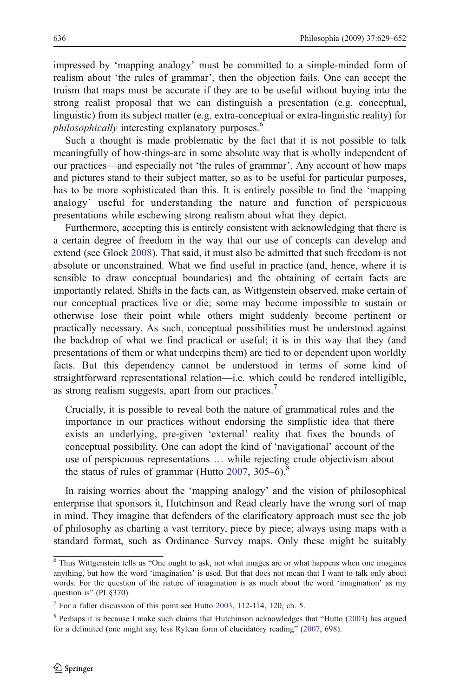impressed by 'mapping analogy' must be committed to a simple-minded form of realism about 'the rules of grammar', then the objection fails. One can accept the truism that maps must be accurate if they are to be useful without buying into the strong realist proposal that we can distinguish a presentation (e.g. conceptual, linguistic) from its subject matter (e.g. extra-conceptual or extra-linguistic reality) for *philosophically* interesting explanatory purposes.<sup>6</sup>

Such a thought is made problematic by the fact that it is not possible to talk meaningfully of how-things-are in some absolute way that is wholly independent of our practices—and especially not 'the rules of grammar'. Any account of how maps and pictures stand to their subject matter, so as to be useful for particular purposes, has to be more sophisticated than this. It is entirely possible to find the 'mapping analogy' useful for understanding the nature and function of perspicuous presentations while eschewing strong realism about what they depict.

Furthermore, accepting this is entirely consistent with acknowledging that there is a certain degree of freedom in the way that our use of concepts can develop and extend (see Glock [2008](#page-23-0)). That said, it must also be admitted that such freedom is not absolute or unconstrained. What we find useful in practice (and, hence, where it is sensible to draw conceptual boundaries) and the obtaining of certain facts are importantly related. Shifts in the facts can, as Wittgenstein observed, make certain of our conceptual practices live or die; some may become impossible to sustain or otherwise lose their point while others might suddenly become pertinent or practically necessary. As such, conceptual possibilities must be understood against the backdrop of what we find practical or useful; it is in this way that they (and presentations of them or what underpins them) are tied to or dependent upon worldly facts. But this dependency cannot be understood in terms of some kind of straightforward representational relation—i.e. which could be rendered intelligible, as strong realism suggests, apart from our practices.<sup>7</sup>

Crucially, it is possible to reveal both the nature of grammatical rules and the importance in our practices without endorsing the simplistic idea that there exists an underlying, pre-given 'external' reality that fixes the bounds of conceptual possibility. One can adopt the kind of 'navigational' account of the use of perspicuous representations … while rejecting crude objectivism about the status of rules of grammar (Hutto  $2007$ ,  $305-6$ ).<sup>8</sup>

In raising worries about the 'mapping analogy' and the vision of philosophical enterprise that sponsors it, Hutchinson and Read clearly have the wrong sort of map in mind. They imagine that defenders of the clarificatory approach must see the job of philosophy as charting a vast territory, piece by piece; always using maps with a standard format, such as Ordinance Survey maps. Only these might be suitably

 $6$  Thus Wittgenstein tells us "One ought to ask, not what images are or what happens when one imagines anything, but how the word 'imagination' is used. But that does not mean that I want to talk only about words. For the question of the nature of imagination is as much about the word 'imagination' as my question is" (PI §370).

 $<sup>7</sup>$  For a fuller discussion of this point see Hutto [2003](#page-23-0), 112-114, 120, ch. 5.</sup>

<sup>8</sup> Perhaps it is because I make such claims that Hutchinson acknowledges that "Hutto ([2003\)](#page-23-0) has argued for a delimited (one might say, less Rylean form of elucidatory reading" ([2007,](#page-23-0) 698).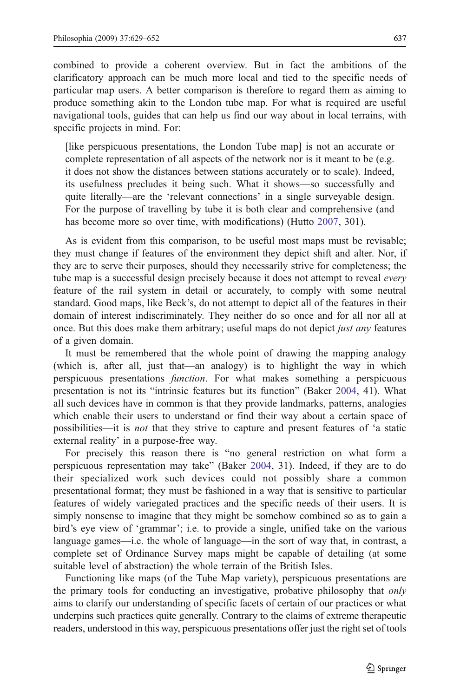combined to provide a coherent overview. But in fact the ambitions of the clarificatory approach can be much more local and tied to the specific needs of particular map users. A better comparison is therefore to regard them as aiming to produce something akin to the London tube map. For what is required are useful navigational tools, guides that can help us find our way about in local terrains, with specific projects in mind. For:

[like perspicuous presentations, the London Tube map] is not an accurate or complete representation of all aspects of the network nor is it meant to be (e.g. it does not show the distances between stations accurately or to scale). Indeed, its usefulness precludes it being such. What it shows—so successfully and quite literally—are the 'relevant connections' in a single surveyable design. For the purpose of travelling by tube it is both clear and comprehensive (and has become more so over time, with modifications) (Hutto [2007](#page-23-0), 301).

As is evident from this comparison, to be useful most maps must be revisable; they must change if features of the environment they depict shift and alter. Nor, if they are to serve their purposes, should they necessarily strive for completeness; the tube map is a successful design precisely because it does not attempt to reveal *every* feature of the rail system in detail or accurately, to comply with some neutral standard. Good maps, like Beck's, do not attempt to depict all of the features in their domain of interest indiscriminately. They neither do so once and for all nor all at once. But this does make them arbitrary; useful maps do not depict *just any* features of a given domain.

It must be remembered that the whole point of drawing the mapping analogy (which is, after all, just that—an analogy) is to highlight the way in which perspicuous presentations function. For what makes something a perspicuous presentation is not its "intrinsic features but its function" (Baker [2004,](#page-22-0) 41). What all such devices have in common is that they provide landmarks, patterns, analogies which enable their users to understand or find their way about a certain space of possibilities—it is not that they strive to capture and present features of 'a static external reality' in a purpose-free way.

For precisely this reason there is "no general restriction on what form a perspicuous representation may take" (Baker [2004](#page-22-0), 31). Indeed, if they are to do their specialized work such devices could not possibly share a common presentational format; they must be fashioned in a way that is sensitive to particular features of widely variegated practices and the specific needs of their users. It is simply nonsense to imagine that they might be somehow combined so as to gain a bird's eye view of 'grammar'; i.e. to provide a single, unified take on the various language games—i.e. the whole of language—in the sort of way that, in contrast, a complete set of Ordinance Survey maps might be capable of detailing (at some suitable level of abstraction) the whole terrain of the British Isles.

Functioning like maps (of the Tube Map variety), perspicuous presentations are the primary tools for conducting an investigative, probative philosophy that only aims to clarify our understanding of specific facets of certain of our practices or what underpins such practices quite generally. Contrary to the claims of extreme therapeutic readers, understood in this way, perspicuous presentations offer just the right set of tools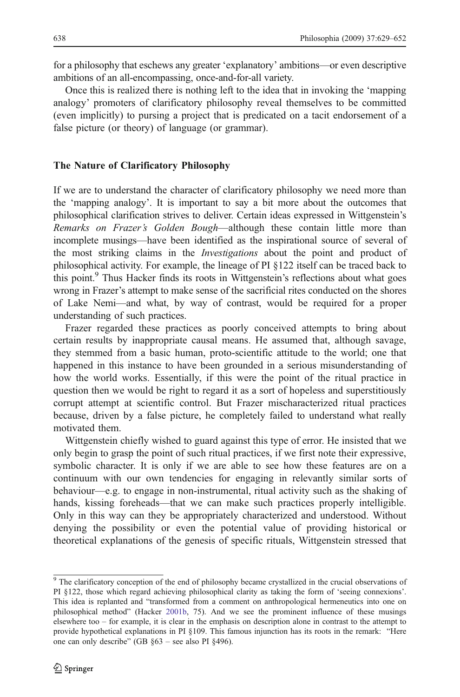<span id="page-9-0"></span>for a philosophy that eschews any greater 'explanatory' ambitions—or even descriptive ambitions of an all-encompassing, once-and-for-all variety.

Once this is realized there is nothing left to the idea that in invoking the 'mapping analogy' promoters of clarificatory philosophy reveal themselves to be committed (even implicitly) to pursing a project that is predicated on a tacit endorsement of a false picture (or theory) of language (or grammar).

#### The Nature of Clarificatory Philosophy

If we are to understand the character of clarificatory philosophy we need more than the 'mapping analogy'. It is important to say a bit more about the outcomes that philosophical clarification strives to deliver. Certain ideas expressed in Wittgenstein's Remarks on Frazer's Golden Bough—although these contain little more than incomplete musings—have been identified as the inspirational source of several of the most striking claims in the Investigations about the point and product of philosophical activity. For example, the lineage of PI §122 itself can be traced back to this point.<sup>9</sup> Thus Hacker finds its roots in Wittgenstein's reflections about what goes wrong in Frazer's attempt to make sense of the sacrificial rites conducted on the shores of Lake Nemi—and what, by way of contrast, would be required for a proper understanding of such practices.

Frazer regarded these practices as poorly conceived attempts to bring about certain results by inappropriate causal means. He assumed that, although savage, they stemmed from a basic human, proto-scientific attitude to the world; one that happened in this instance to have been grounded in a serious misunderstanding of how the world works. Essentially, if this were the point of the ritual practice in question then we would be right to regard it as a sort of hopeless and superstitiously corrupt attempt at scientific control. But Frazer mischaracterized ritual practices because, driven by a false picture, he completely failed to understand what really motivated them.

Wittgenstein chiefly wished to guard against this type of error. He insisted that we only begin to grasp the point of such ritual practices, if we first note their expressive, symbolic character. It is only if we are able to see how these features are on a continuum with our own tendencies for engaging in relevantly similar sorts of behaviour—e.g. to engage in non-instrumental, ritual activity such as the shaking of hands, kissing foreheads—that we can make such practices properly intelligible. Only in this way can they be appropriately characterized and understood. Without denying the possibility or even the potential value of providing historical or theoretical explanations of the genesis of specific rituals, Wittgenstein stressed that

<sup>&</sup>lt;sup>9</sup> The clarificatory conception of the end of philosophy became crystallized in the crucial observations of PI §122, those which regard achieving philosophical clarity as taking the form of 'seeing connexions'. This idea is replanted and "transformed from a comment on anthropological hermeneutics into one on philosophical method" (Hacker [2001b](#page-23-0), 75). And we see the prominent influence of these musings elsewhere too – for example, it is clear in the emphasis on description alone in contrast to the attempt to provide hypothetical explanations in PI §109. This famous injunction has its roots in the remark: "Here one can only describe" (GB §63 – see also PI §496).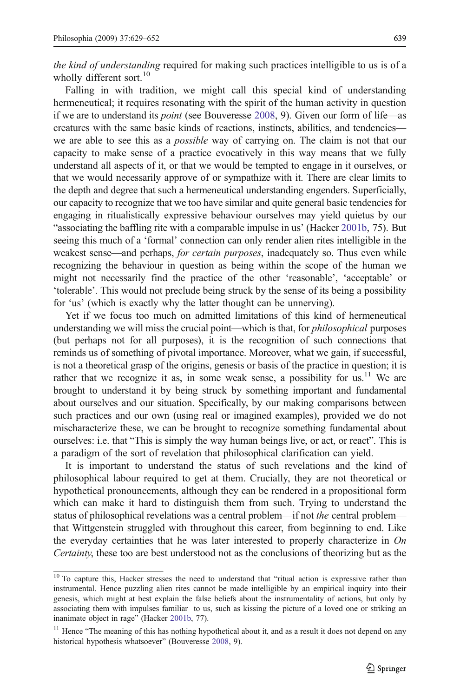the kind of understanding required for making such practices intelligible to us is of a wholly different sort.<sup>10</sup>

Falling in with tradition, we might call this special kind of understanding hermeneutical; it requires resonating with the spirit of the human activity in question if we are to understand its point (see Bouveresse [2008,](#page-22-0) 9). Given our form of life—as creatures with the same basic kinds of reactions, instincts, abilities, and tendencies we are able to see this as a possible way of carrying on. The claim is not that our capacity to make sense of a practice evocatively in this way means that we fully understand all aspects of it, or that we would be tempted to engage in it ourselves, or that we would necessarily approve of or sympathize with it. There are clear limits to the depth and degree that such a hermeneutical understanding engenders. Superficially, our capacity to recognize that we too have similar and quite general basic tendencies for engaging in ritualistically expressive behaviour ourselves may yield quietus by our "associating the baffling rite with a comparable impulse in us' (Hacker [2001b,](#page-23-0) 75). But seeing this much of a 'formal' connection can only render alien rites intelligible in the weakest sense—and perhaps, *for certain purposes*, inadequately so. Thus even while recognizing the behaviour in question as being within the scope of the human we might not necessarily find the practice of the other 'reasonable', 'acceptable' or 'tolerable'. This would not preclude being struck by the sense of its being a possibility for 'us' (which is exactly why the latter thought can be unnerving).

Yet if we focus too much on admitted limitations of this kind of hermeneutical understanding we will miss the crucial point—which is that, for *philosophical* purposes (but perhaps not for all purposes), it is the recognition of such connections that reminds us of something of pivotal importance. Moreover, what we gain, if successful, is not a theoretical grasp of the origins, genesis or basis of the practice in question; it is rather that we recognize it as, in some weak sense, a possibility for us.<sup>11</sup> We are brought to understand it by being struck by something important and fundamental about ourselves and our situation. Specifically, by our making comparisons between such practices and our own (using real or imagined examples), provided we do not mischaracterize these, we can be brought to recognize something fundamental about ourselves: i.e. that "This is simply the way human beings live, or act, or react". This is a paradigm of the sort of revelation that philosophical clarification can yield.

It is important to understand the status of such revelations and the kind of philosophical labour required to get at them. Crucially, they are not theoretical or hypothetical pronouncements, although they can be rendered in a propositional form which can make it hard to distinguish them from such. Trying to understand the status of philosophical revelations was a central problem—if not *the* central problem that Wittgenstein struggled with throughout this career, from beginning to end. Like the everyday certainties that he was later interested to properly characterize in  $On$ Certainty, these too are best understood not as the conclusions of theorizing but as the

<sup>&</sup>lt;sup>10</sup> To capture this, Hacker stresses the need to understand that "ritual action is expressive rather than instrumental. Hence puzzling alien rites cannot be made intelligible by an empirical inquiry into their genesis, which might at best explain the false beliefs about the instrumentality of actions, but only by associating them with impulses familiar to us, such as kissing the picture of a loved one or striking an inanimate object in rage" (Hacker [2001b,](#page-23-0) 77).

<sup>&</sup>lt;sup>11</sup> Hence "The meaning of this has nothing hypothetical about it, and as a result it does not depend on any historical hypothesis whatsoever" (Bouveresse [2008,](#page-22-0) 9).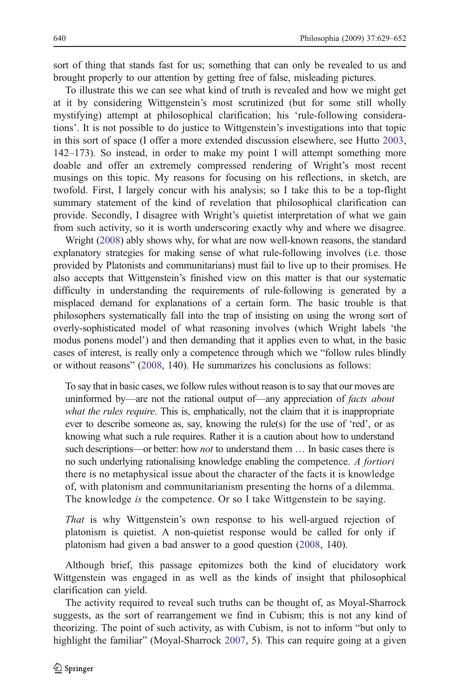sort of thing that stands fast for us; something that can only be revealed to us and brought properly to our attention by getting free of false, misleading pictures.

To illustrate this we can see what kind of truth is revealed and how we might get at it by considering Wittgenstein's most scrutinized (but for some still wholly mystifying) attempt at philosophical clarification; his 'rule-following considerations'. It is not possible to do justice to Wittgenstein's investigations into that topic in this sort of space (I offer a more extended discussion elsewhere, see Hutto [2003,](#page-23-0) 142–173). So instead, in order to make my point I will attempt something more doable and offer an extremely compressed rendering of Wright's most recent musings on this topic. My reasons for focusing on his reflections, in sketch, are twofold. First, I largely concur with his analysis; so I take this to be a top-flight summary statement of the kind of revelation that philosophical clarification can provide. Secondly, I disagree with Wright's quietist interpretation of what we gain from such activity, so it is worth underscoring exactly why and where we disagree.

Wright [\(2008\)](#page-23-0) ably shows why, for what are now well-known reasons, the standard explanatory strategies for making sense of what rule-following involves (i.e. those provided by Platonists and communitarians) must fail to live up to their promises. He also accepts that Wittgenstein's finished view on this matter is that our systematic difficulty in understanding the requirements of rule-following is generated by a misplaced demand for explanations of a certain form. The basic trouble is that philosophers systematically fall into the trap of insisting on using the wrong sort of overly-sophisticated model of what reasoning involves (which Wright labels 'the modus ponens model') and then demanding that it applies even to what, in the basic cases of interest, is really only a competence through which we "follow rules blindly or without reasons" [\(2008,](#page-23-0) 140). He summarizes his conclusions as follows:

To say that in basic cases, we follow rules without reason is to say that our moves are uninformed by—are not the rational output of—any appreciation of *facts about* what the rules require. This is, emphatically, not the claim that it is inappropriate ever to describe someone as, say, knowing the rule(s) for the use of 'red', or as knowing what such a rule requires. Rather it is a caution about how to understand such descriptions—or better: how *not* to understand them ... In basic cases there is no such underlying rationalising knowledge enabling the competence. A fortiori there is no metaphysical issue about the character of the facts it is knowledge of, with platonism and communitarianism presenting the horns of a dilemma. The knowledge is the competence. Or so I take Wittgenstein to be saying.

That is why Wittgenstein's own response to his well-argued rejection of platonism is quietist. A non-quietist response would be called for only if platonism had given a bad answer to a good question [\(2008](#page-23-0), 140).

Although brief, this passage epitomizes both the kind of elucidatory work Wittgenstein was engaged in as well as the kinds of insight that philosophical clarification can yield.

The activity required to reveal such truths can be thought of, as Moyal-Sharrock suggests, as the sort of rearrangement we find in Cubism; this is not any kind of theorizing. The point of such activity, as with Cubism, is not to inform "but only to highlight the familiar" (Moyal-Sharrock [2007,](#page-23-0) 5). This can require going at a given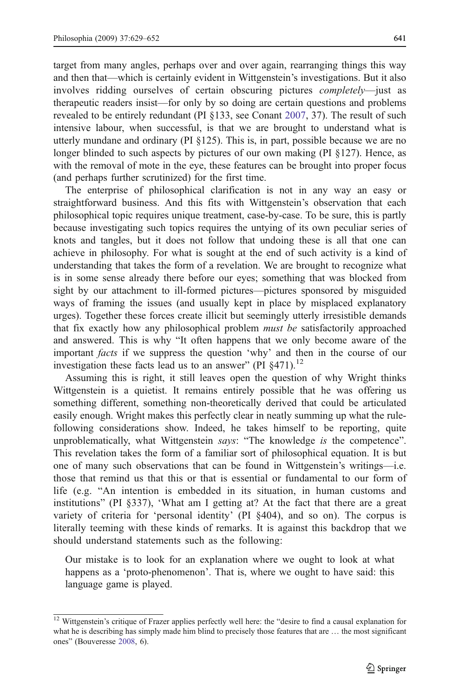target from many angles, perhaps over and over again, rearranging things this way and then that—which is certainly evident in Wittgenstein's investigations. But it also involves ridding ourselves of certain obscuring pictures completely—just as therapeutic readers insist—for only by so doing are certain questions and problems revealed to be entirely redundant (PI §133, see Conant [2007](#page-23-0), 37). The result of such intensive labour, when successful, is that we are brought to understand what is utterly mundane and ordinary (PI §125). This is, in part, possible because we are no longer blinded to such aspects by pictures of our own making (PI §127). Hence, as with the removal of mote in the eye, these features can be brought into proper focus (and perhaps further scrutinized) for the first time.

The enterprise of philosophical clarification is not in any way an easy or straightforward business. And this fits with Wittgenstein's observation that each philosophical topic requires unique treatment, case-by-case. To be sure, this is partly because investigating such topics requires the untying of its own peculiar series of knots and tangles, but it does not follow that undoing these is all that one can achieve in philosophy. For what is sought at the end of such activity is a kind of understanding that takes the form of a revelation. We are brought to recognize what is in some sense already there before our eyes; something that was blocked from sight by our attachment to ill-formed pictures—pictures sponsored by misguided ways of framing the issues (and usually kept in place by misplaced explanatory urges). Together these forces create illicit but seemingly utterly irresistible demands that fix exactly how any philosophical problem *must be* satisfactorily approached and answered. This is why "It often happens that we only become aware of the important facts if we suppress the question 'why' and then in the course of our investigation these facts lead us to an answer" (PI  $\S 471$ ).<sup>12</sup>

Assuming this is right, it still leaves open the question of why Wright thinks Wittgenstein is a quietist. It remains entirely possible that he was offering us something different, something non-theoretically derived that could be articulated easily enough. Wright makes this perfectly clear in neatly summing up what the rulefollowing considerations show. Indeed, he takes himself to be reporting, quite unproblematically, what Wittgenstein says: "The knowledge is the competence". This revelation takes the form of a familiar sort of philosophical equation. It is but one of many such observations that can be found in Wittgenstein's writings—i.e. those that remind us that this or that is essential or fundamental to our form of life (e.g. "An intention is embedded in its situation, in human customs and institutions" (PI §337), 'What am I getting at? At the fact that there are a great variety of criteria for 'personal identity' (PI §404), and so on). The corpus is literally teeming with these kinds of remarks. It is against this backdrop that we should understand statements such as the following:

Our mistake is to look for an explanation where we ought to look at what happens as a 'proto-phenomenon'. That is, where we ought to have said: this language game is played.

 $\frac{12}{12}$  Wittgenstein's critique of Frazer applies perfectly well here: the "desire to find a causal explanation for what he is describing has simply made him blind to precisely those features that are ... the most significant ones" (Bouveresse [2008](#page-22-0), 6).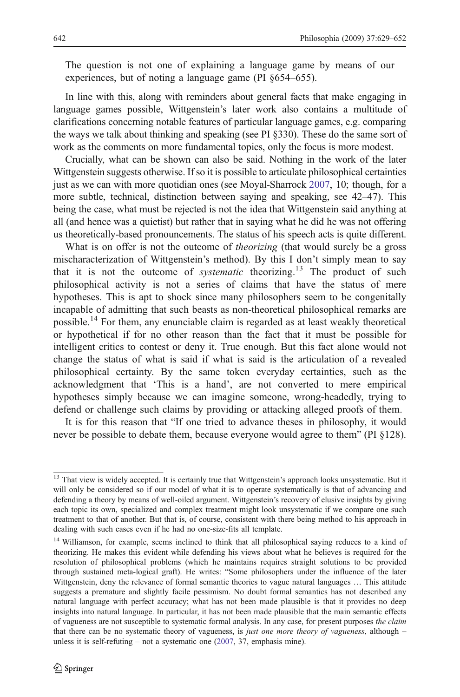The question is not one of explaining a language game by means of our experiences, but of noting a language game (PI §654–655).

In line with this, along with reminders about general facts that make engaging in language games possible, Wittgenstein's later work also contains a multitude of clarifications concerning notable features of particular language games, e.g. comparing the ways we talk about thinking and speaking (see PI §330). These do the same sort of work as the comments on more fundamental topics, only the focus is more modest.

Crucially, what can be shown can also be said. Nothing in the work of the later Wittgenstein suggests otherwise. If so it is possible to articulate philosophical certainties just as we can with more quotidian ones (see Moyal-Sharrock [2007](#page-23-0), 10; though, for a more subtle, technical, distinction between saying and speaking, see 42–47). This being the case, what must be rejected is not the idea that Wittgenstein said anything at all (and hence was a quietist) but rather that in saying what he did he was not offering us theoretically-based pronouncements. The status of his speech acts is quite different.

What is on offer is not the outcome of *theorizing* (that would surely be a gross mischaracterization of Wittgenstein's method). By this I don't simply mean to say that it is not the outcome of *systematic* theorizing.<sup>13</sup> The product of such philosophical activity is not a series of claims that have the status of mere hypotheses. This is apt to shock since many philosophers seem to be congenitally incapable of admitting that such beasts as non-theoretical philosophical remarks are possible.<sup>14</sup> For them, any enunciable claim is regarded as at least weakly theoretical or hypothetical if for no other reason than the fact that it must be possible for intelligent critics to contest or deny it. True enough. But this fact alone would not change the status of what is said if what is said is the articulation of a revealed philosophical certainty. By the same token everyday certainties, such as the acknowledgment that 'This is a hand', are not converted to mere empirical hypotheses simply because we can imagine someone, wrong-headedly, trying to defend or challenge such claims by providing or attacking alleged proofs of them.

It is for this reason that "If one tried to advance theses in philosophy, it would never be possible to debate them, because everyone would agree to them" (PI §128).

<sup>&</sup>lt;sup>13</sup> That view is widely accepted. It is certainly true that Wittgenstein's approach looks unsystematic. But it will only be considered so if our model of what it is to operate systematically is that of advancing and defending a theory by means of well-oiled argument. Wittgenstein's recovery of elusive insights by giving each topic its own, specialized and complex treatment might look unsystematic if we compare one such treatment to that of another. But that is, of course, consistent with there being method to his approach in dealing with such cases even if he had no one-size-fits all template.

<sup>&</sup>lt;sup>14</sup> Williamson, for example, seems inclined to think that all philosophical saying reduces to a kind of theorizing. He makes this evident while defending his views about what he believes is required for the resolution of philosophical problems (which he maintains requires straight solutions to be provided through sustained meta-logical graft). He writes: "Some philosophers under the influence of the later Wittgenstein, deny the relevance of formal semantic theories to vague natural languages … This attitude suggests a premature and slightly facile pessimism. No doubt formal semantics has not described any natural language with perfect accuracy; what has not been made plausible is that it provides no deep insights into natural language. In particular, it has not been made plausible that the main semantic effects of vagueness are not susceptible to systematic formal analysis. In any case, for present purposes the claim that there can be no systematic theory of vagueness, is just one more theory of vagueness, although – unless it is self-refuting – not a systematic one [\(2007](#page-23-0), 37, emphasis mine).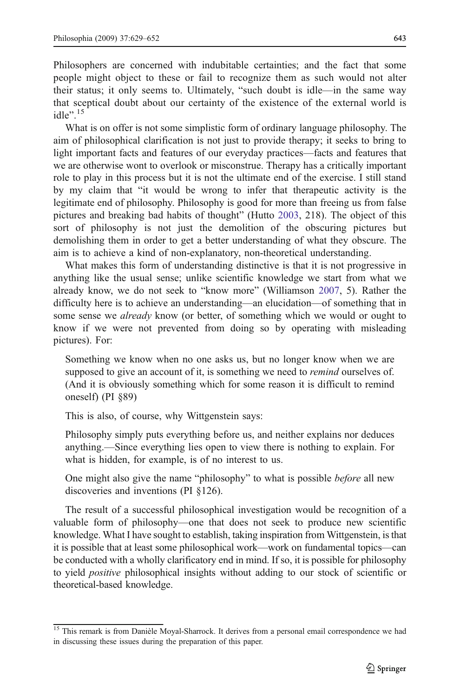Philosophers are concerned with indubitable certainties; and the fact that some people might object to these or fail to recognize them as such would not alter their status; it only seems to. Ultimately, "such doubt is idle—in the same way that sceptical doubt about our certainty of the existence of the external world is idle". 15

What is on offer is not some simplistic form of ordinary language philosophy. The aim of philosophical clarification is not just to provide therapy; it seeks to bring to light important facts and features of our everyday practices—facts and features that we are otherwise wont to overlook or misconstrue. Therapy has a critically important role to play in this process but it is not the ultimate end of the exercise. I still stand by my claim that "it would be wrong to infer that therapeutic activity is the legitimate end of philosophy. Philosophy is good for more than freeing us from false pictures and breaking bad habits of thought" (Hutto [2003,](#page-23-0) 218). The object of this sort of philosophy is not just the demolition of the obscuring pictures but demolishing them in order to get a better understanding of what they obscure. The aim is to achieve a kind of non-explanatory, non-theoretical understanding.

What makes this form of understanding distinctive is that it is not progressive in anything like the usual sense; unlike scientific knowledge we start from what we already know, we do not seek to "know more" (Williamson [2007,](#page-23-0) 5). Rather the difficulty here is to achieve an understanding—an elucidation—of something that in some sense we *already* know (or better, of something which we would or ought to know if we were not prevented from doing so by operating with misleading pictures). For:

Something we know when no one asks us, but no longer know when we are supposed to give an account of it, is something we need to *remind* ourselves of. (And it is obviously something which for some reason it is difficult to remind oneself) (PI §89)

This is also, of course, why Wittgenstein says:

Philosophy simply puts everything before us, and neither explains nor deduces anything.—Since everything lies open to view there is nothing to explain. For what is hidden, for example, is of no interest to us.

One might also give the name "philosophy" to what is possible before all new discoveries and inventions (PI §126).

The result of a successful philosophical investigation would be recognition of a valuable form of philosophy—one that does not seek to produce new scientific knowledge. What I have sought to establish, taking inspiration from Wittgenstein, is that it is possible that at least some philosophical work—work on fundamental topics—can be conducted with a wholly clarificatory end in mind. If so, it is possible for philosophy to yield positive philosophical insights without adding to our stock of scientific or theoretical-based knowledge.

<sup>&</sup>lt;sup>15</sup> This remark is from Danièle Moyal-Sharrock. It derives from a personal email correspondence we had in discussing these issues during the preparation of this paper.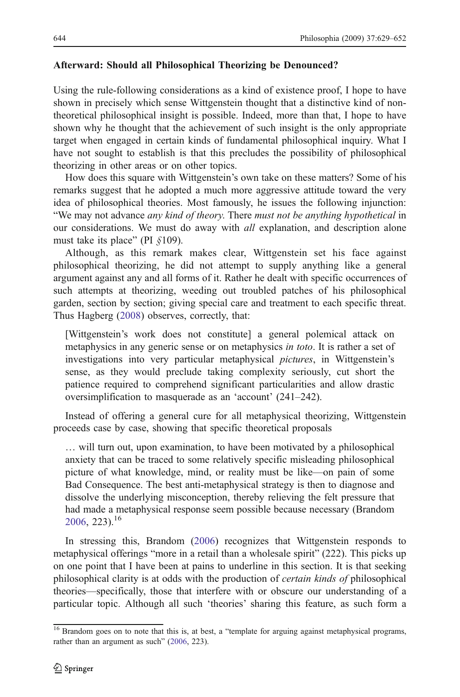#### <span id="page-15-0"></span>Afterward: Should all Philosophical Theorizing be Denounced?

Using the rule-following considerations as a kind of existence proof, I hope to have shown in precisely which sense Wittgenstein thought that a distinctive kind of nontheoretical philosophical insight is possible. Indeed, more than that, I hope to have shown why he thought that the achievement of such insight is the only appropriate target when engaged in certain kinds of fundamental philosophical inquiry. What I have not sought to establish is that this precludes the possibility of philosophical theorizing in other areas or on other topics.

How does this square with Wittgenstein's own take on these matters? Some of his remarks suggest that he adopted a much more aggressive attitude toward the very idea of philosophical theories. Most famously, he issues the following injunction: "We may not advance any kind of theory. There must not be anything hypothetical in our considerations. We must do away with *all* explanation, and description alone must take its place" (PI  $$109$ ).

Although, as this remark makes clear, Wittgenstein set his face against philosophical theorizing, he did not attempt to supply anything like a general argument against any and all forms of it. Rather he dealt with specific occurrences of such attempts at theorizing, weeding out troubled patches of his philosophical garden, section by section; giving special care and treatment to each specific threat. Thus Hagberg ([2008\)](#page-23-0) observes, correctly, that:

[Wittgenstein's work does not constitute] a general polemical attack on metaphysics in any generic sense or on metaphysics in toto. It is rather a set of investigations into very particular metaphysical *pictures*, in Wittgenstein's sense, as they would preclude taking complexity seriously, cut short the patience required to comprehend significant particularities and allow drastic oversimplification to masquerade as an 'account' (241–242).

Instead of offering a general cure for all metaphysical theorizing, Wittgenstein proceeds case by case, showing that specific theoretical proposals

… will turn out, upon examination, to have been motivated by a philosophical anxiety that can be traced to some relatively specific misleading philosophical picture of what knowledge, mind, or reality must be like—on pain of some Bad Consequence. The best anti-metaphysical strategy is then to diagnose and dissolve the underlying misconception, thereby relieving the felt pressure that had made a metaphysical response seem possible because necessary (Brandom  $2006, 223$  $2006, 223$ <sup>16</sup>

In stressing this, Brandom ([2006\)](#page-22-0) recognizes that Wittgenstein responds to metaphysical offerings "more in a retail than a wholesale spirit" (222). This picks up on one point that I have been at pains to underline in this section. It is that seeking philosophical clarity is at odds with the production of certain kinds of philosophical theories—specifically, those that interfere with or obscure our understanding of a particular topic. Although all such 'theories' sharing this feature, as such form a

<sup>&</sup>lt;sup>16</sup> Brandom goes on to note that this is, at best, a "template for arguing against metaphysical programs, rather than an argument as such" ([2006,](#page-22-0) 223).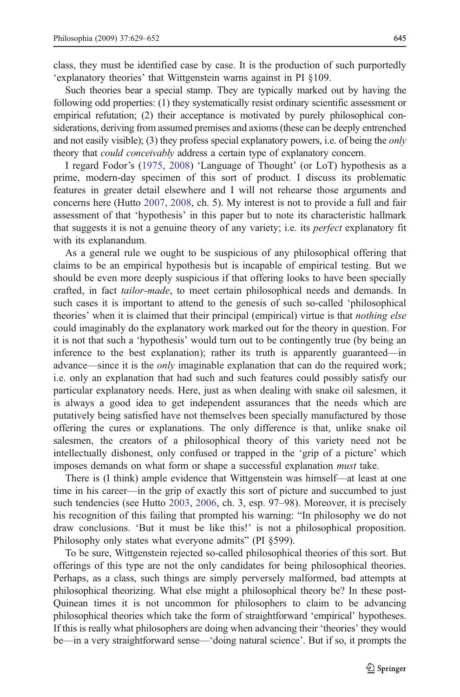class, they must be identified case by case. It is the production of such purportedly 'explanatory theories' that Wittgenstein warns against in PI §109.

Such theories bear a special stamp. They are typically marked out by having the following odd properties: (1) they systematically resist ordinary scientific assessment or empirical refutation; (2) their acceptance is motivated by purely philosophical considerations, deriving from assumed premises and axioms (these can be deeply entrenched and not easily visible); (3) they profess special explanatory powers, i.e. of being the *only* theory that could conceivably address a certain type of explanatory concern.

I regard Fodor's ([1975,](#page-23-0) [2008\)](#page-23-0) 'Language of Thought' (or LoT) hypothesis as a prime, modern-day specimen of this sort of product. I discuss its problematic features in greater detail elsewhere and I will not rehearse those arguments and concerns here (Hutto [2007,](#page-23-0) [2008,](#page-23-0) ch. 5). My interest is not to provide a full and fair assessment of that 'hypothesis' in this paper but to note its characteristic hallmark that suggests it is not a genuine theory of any variety; i.e. its perfect explanatory fit with its explanandum.

As a general rule we ought to be suspicious of any philosophical offering that claims to be an empirical hypothesis but is incapable of empirical testing. But we should be even more deeply suspicious if that offering looks to have been specially crafted, in fact tailor-made, to meet certain philosophical needs and demands. In such cases it is important to attend to the genesis of such so-called 'philosophical theories' when it is claimed that their principal (empirical) virtue is that nothing else could imaginably do the explanatory work marked out for the theory in question. For it is not that such a 'hypothesis' would turn out to be contingently true (by being an inference to the best explanation); rather its truth is apparently guaranteed—in advance—since it is the *only* imaginable explanation that can do the required work; i.e. only an explanation that had such and such features could possibly satisfy our particular explanatory needs. Here, just as when dealing with snake oil salesmen, it is always a good idea to get independent assurances that the needs which are putatively being satisfied have not themselves been specially manufactured by those offering the cures or explanations. The only difference is that, unlike snake oil salesmen, the creators of a philosophical theory of this variety need not be intellectually dishonest, only confused or trapped in the 'grip of a picture' which imposes demands on what form or shape a successful explanation must take.

There is (I think) ample evidence that Wittgenstein was himself—at least at one time in his career—in the grip of exactly this sort of picture and succumbed to just such tendencies (see Hutto [2003](#page-23-0), [2006,](#page-23-0) ch. 3, esp. 97–98). Moreover, it is precisely his recognition of this failing that prompted his warning: "In philosophy we do not draw conclusions. 'But it must be like this!' is not a philosophical proposition. Philosophy only states what everyone admits" (PI §599).

To be sure, Wittgenstein rejected so-called philosophical theories of this sort. But offerings of this type are not the only candidates for being philosophical theories. Perhaps, as a class, such things are simply perversely malformed, bad attempts at philosophical theorizing. What else might a philosophical theory be? In these post-Quinean times it is not uncommon for philosophers to claim to be advancing philosophical theories which take the form of straightforward 'empirical' hypotheses. If this is really what philosophers are doing when advancing their 'theories' they would be—in a very straightforward sense—'doing natural science'. But if so, it prompts the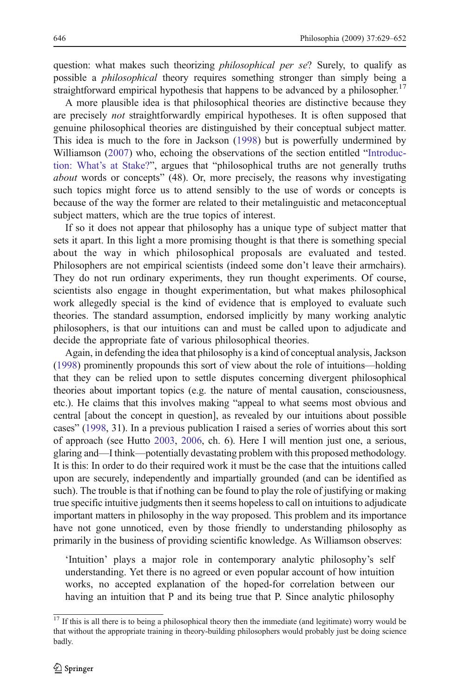question: what makes such theorizing *philosophical per se*? Surely, to qualify as possible a philosophical theory requires something stronger than simply being a straightforward empirical hypothesis that happens to be advanced by a philosopher.<sup>17</sup>

A more plausible idea is that philosophical theories are distinctive because they are precisely not straightforwardly empirical hypotheses. It is often supposed that genuine philosophical theories are distinguished by their conceptual subject matter. This idea is much to the fore in Jackson [\(1998](#page-23-0)) but is powerfully undermined by Williamson [\(2007](#page-23-0)) who, echoing the observations of the section entitled "[Introduc](#page-0-0)tion: What'[s at Stake?](#page-0-0)", argues that "philosophical truths are not generally truths about words or concepts" (48). Or, more precisely, the reasons why investigating such topics might force us to attend sensibly to the use of words or concepts is because of the way the former are related to their metalinguistic and metaconceptual subject matters, which are the true topics of interest.

If so it does not appear that philosophy has a unique type of subject matter that sets it apart. In this light a more promising thought is that there is something special about the way in which philosophical proposals are evaluated and tested. Philosophers are not empirical scientists (indeed some don't leave their armchairs). They do not run ordinary experiments, they run thought experiments. Of course, scientists also engage in thought experimentation, but what makes philosophical work allegedly special is the kind of evidence that is employed to evaluate such theories. The standard assumption, endorsed implicitly by many working analytic philosophers, is that our intuitions can and must be called upon to adjudicate and decide the appropriate fate of various philosophical theories.

Again, in defending the idea that philosophy is a kind of conceptual analysis, Jackson [\(1998\)](#page-23-0) prominently propounds this sort of view about the role of intuitions—holding that they can be relied upon to settle disputes concerning divergent philosophical theories about important topics (e.g. the nature of mental causation, consciousness, etc.). He claims that this involves making "appeal to what seems most obvious and central [about the concept in question], as revealed by our intuitions about possible cases" ([1998](#page-23-0), 31). In a previous publication I raised a series of worries about this sort of approach (see Hutto [2003](#page-23-0), [2006,](#page-23-0) ch. 6). Here I will mention just one, a serious, glaring and—I think—potentially devastating problem with this proposed methodology. It is this: In order to do their required work it must be the case that the intuitions called upon are securely, independently and impartially grounded (and can be identified as such). The trouble is that if nothing can be found to play the role of justifying or making true specific intuitive judgments then it seems hopeless to call on intuitions to adjudicate important matters in philosophy in the way proposed. This problem and its importance have not gone unnoticed, even by those friendly to understanding philosophy as primarily in the business of providing scientific knowledge. As Williamson observes:

'Intuition' plays a major role in contemporary analytic philosophy's self understanding. Yet there is no agreed or even popular account of how intuition works, no accepted explanation of the hoped-for correlation between our having an intuition that P and its being true that P. Since analytic philosophy

 $\frac{17}{17}$  If this is all there is to being a philosophical theory then the immediate (and legitimate) worry would be that without the appropriate training in theory-building philosophers would probably just be doing science badly.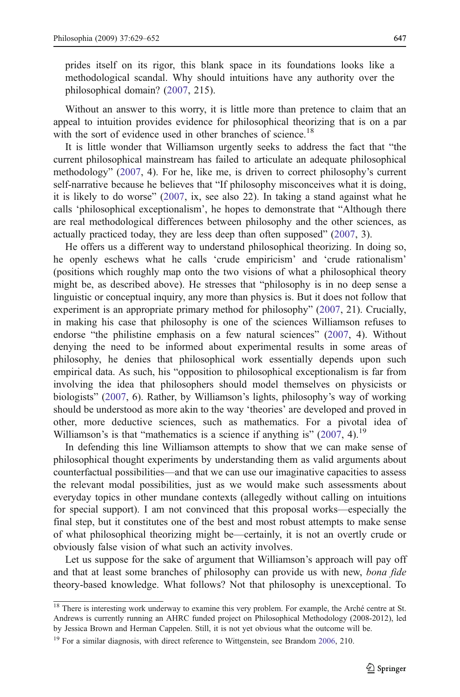prides itself on its rigor, this blank space in its foundations looks like a methodological scandal. Why should intuitions have any authority over the philosophical domain? ([2007,](#page-23-0) 215).

Without an answer to this worry, it is little more than pretence to claim that an appeal to intuition provides evidence for philosophical theorizing that is on a par with the sort of evidence used in other branches of science.<sup>18</sup>

It is little wonder that Williamson urgently seeks to address the fact that "the current philosophical mainstream has failed to articulate an adequate philosophical methodology" ([2007,](#page-23-0) 4). For he, like me, is driven to correct philosophy's current self-narrative because he believes that "If philosophy misconceives what it is doing, it is likely to do worse" [\(2007](#page-23-0), ix, see also 22). In taking a stand against what he calls 'philosophical exceptionalism', he hopes to demonstrate that "Although there are real methodological differences between philosophy and the other sciences, as actually practiced today, they are less deep than often supposed" ([2007](#page-23-0), 3).

He offers us a different way to understand philosophical theorizing. In doing so, he openly eschews what he calls 'crude empiricism' and 'crude rationalism' (positions which roughly map onto the two visions of what a philosophical theory might be, as described above). He stresses that "philosophy is in no deep sense a linguistic or conceptual inquiry, any more than physics is. But it does not follow that experiment is an appropriate primary method for philosophy" [\(2007](#page-23-0), 21). Crucially, in making his case that philosophy is one of the sciences Williamson refuses to endorse "the philistine emphasis on a few natural sciences" [\(2007](#page-23-0), 4). Without denying the need to be informed about experimental results in some areas of philosophy, he denies that philosophical work essentially depends upon such empirical data. As such, his "opposition to philosophical exceptionalism is far from involving the idea that philosophers should model themselves on physicists or biologists" ([2007](#page-23-0), 6). Rather, by Williamson's lights, philosophy's way of working should be understood as more akin to the way 'theories' are developed and proved in other, more deductive sciences, such as mathematics. For a pivotal idea of Williamson's is that "mathematics is a science if anything is"  $(2007, 4)$  $(2007, 4)$ .<sup>19</sup>

In defending this line Williamson attempts to show that we can make sense of philosophical thought experiments by understanding them as valid arguments about counterfactual possibilities—and that we can use our imaginative capacities to assess the relevant modal possibilities, just as we would make such assessments about everyday topics in other mundane contexts (allegedly without calling on intuitions for special support). I am not convinced that this proposal works—especially the final step, but it constitutes one of the best and most robust attempts to make sense of what philosophical theorizing might be—certainly, it is not an overtly crude or obviously false vision of what such an activity involves.

Let us suppose for the sake of argument that Williamson's approach will pay off and that at least some branches of philosophy can provide us with new, *bona fide* theory-based knowledge. What follows? Not that philosophy is unexceptional. To

<sup>&</sup>lt;sup>18</sup> There is interesting work underway to examine this very problem. For example, the Arché centre at St. Andrews is currently running an AHRC funded project on Philosophical Methodology (2008-2012), led by Jessica Brown and Herman Cappelen. Still, it is not yet obvious what the outcome will be.

<sup>&</sup>lt;sup>19</sup> For a similar diagnosis, with direct reference to Wittgenstein, see Brandom [2006](#page-22-0), 210.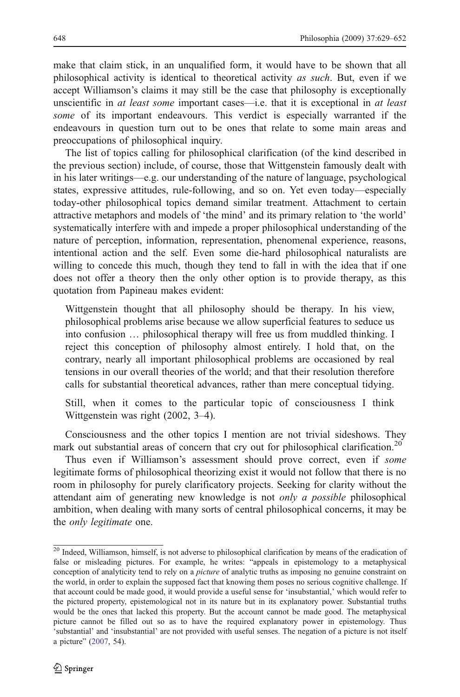make that claim stick, in an unqualified form, it would have to be shown that all philosophical activity is identical to theoretical activity as such. But, even if we accept Williamson's claims it may still be the case that philosophy is exceptionally unscientific in at least some important cases—i.e. that it is exceptional in at least some of its important endeavours. This verdict is especially warranted if the endeavours in question turn out to be ones that relate to some main areas and preoccupations of philosophical inquiry.

The list of topics calling for philosophical clarification (of the kind described in the previous section) include, of course, those that Wittgenstein famously dealt with in his later writings—e.g. our understanding of the nature of language, psychological states, expressive attitudes, rule-following, and so on. Yet even today—especially today-other philosophical topics demand similar treatment. Attachment to certain attractive metaphors and models of 'the mind' and its primary relation to 'the world' systematically interfere with and impede a proper philosophical understanding of the nature of perception, information, representation, phenomenal experience, reasons, intentional action and the self. Even some die-hard philosophical naturalists are willing to concede this much, though they tend to fall in with the idea that if one does not offer a theory then the only other option is to provide therapy, as this quotation from Papineau makes evident:

Wittgenstein thought that all philosophy should be therapy. In his view, philosophical problems arise because we allow superficial features to seduce us into confusion … philosophical therapy will free us from muddled thinking. I reject this conception of philosophy almost entirely. I hold that, on the contrary, nearly all important philosophical problems are occasioned by real tensions in our overall theories of the world; and that their resolution therefore calls for substantial theoretical advances, rather than mere conceptual tidying.

Still, when it comes to the particular topic of consciousness I think Wittgenstein was right (2002, 3–4).

Consciousness and the other topics I mention are not trivial sideshows. They mark out substantial areas of concern that cry out for philosophical clarification.<sup>20</sup>

Thus even if Williamson's assessment should prove correct, even if some legitimate forms of philosophical theorizing exist it would not follow that there is no room in philosophy for purely clarificatory projects. Seeking for clarity without the attendant aim of generating new knowledge is not only a possible philosophical ambition, when dealing with many sorts of central philosophical concerns, it may be the only legitimate one.

<sup>&</sup>lt;sup>20</sup> Indeed, Williamson, himself, is not adverse to philosophical clarification by means of the eradication of false or misleading pictures. For example, he writes: "appeals in epistemology to a metaphysical conception of analyticity tend to rely on a *picture* of analytic truths as imposing no genuine constraint on the world, in order to explain the supposed fact that knowing them poses no serious cognitive challenge. If that account could be made good, it would provide a useful sense for 'insubstantial,' which would refer to the pictured property, epistemological not in its nature but in its explanatory power. Substantial truths would be the ones that lacked this property. But the account cannot be made good. The metaphysical picture cannot be filled out so as to have the required explanatory power in epistemology. Thus 'substantial' and 'insubstantial' are not provided with useful senses. The negation of a picture is not itself a picture" ([2007](#page-23-0), 54).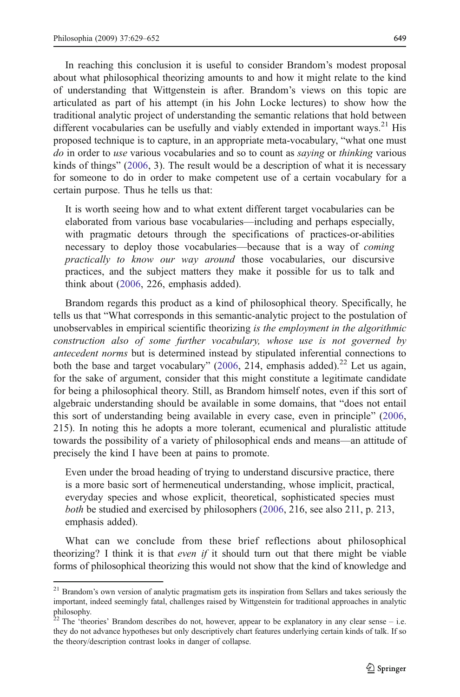In reaching this conclusion it is useful to consider Brandom's modest proposal about what philosophical theorizing amounts to and how it might relate to the kind of understanding that Wittgenstein is after. Brandom's views on this topic are articulated as part of his attempt (in his John Locke lectures) to show how the traditional analytic project of understanding the semantic relations that hold between different vocabularies can be usefully and viably extended in important ways.<sup>21</sup> His proposed technique is to capture, in an appropriate meta-vocabulary, "what one must do in order to use various vocabularies and so to count as *saying* or *thinking* various kinds of things" ([2006,](#page-22-0) 3). The result would be a description of what it is necessary for someone to do in order to make competent use of a certain vocabulary for a certain purpose. Thus he tells us that:

It is worth seeing how and to what extent different target vocabularies can be elaborated from various base vocabularies—including and perhaps especially, with pragmatic detours through the specifications of practices-or-abilities necessary to deploy those vocabularies—because that is a way of coming practically to know our way around those vocabularies, our discursive practices, and the subject matters they make it possible for us to talk and think about ([2006,](#page-22-0) 226, emphasis added).

Brandom regards this product as a kind of philosophical theory. Specifically, he tells us that "What corresponds in this semantic-analytic project to the postulation of unobservables in empirical scientific theorizing is the employment in the algorithmic construction also of some further vocabulary, whose use is not governed by antecedent norms but is determined instead by stipulated inferential connections to both the base and target vocabulary" ([2006,](#page-22-0) 214, emphasis added).<sup>22</sup> Let us again, for the sake of argument, consider that this might constitute a legitimate candidate for being a philosophical theory. Still, as Brandom himself notes, even if this sort of algebraic understanding should be available in some domains, that "does not entail this sort of understanding being available in every case, even in principle" ([2006,](#page-22-0) 215). In noting this he adopts a more tolerant, ecumenical and pluralistic attitude towards the possibility of a variety of philosophical ends and means—an attitude of precisely the kind I have been at pains to promote.

Even under the broad heading of trying to understand discursive practice, there is a more basic sort of hermeneutical understanding, whose implicit, practical, everyday species and whose explicit, theoretical, sophisticated species must both be studied and exercised by philosophers [\(2006](#page-22-0), 216, see also 211, p. 213, emphasis added).

What can we conclude from these brief reflections about philosophical theorizing? I think it is that *even if* it should turn out that there might be viable forms of philosophical theorizing this would not show that the kind of knowledge and

<sup>&</sup>lt;sup>21</sup> Brandom's own version of analytic pragmatism gets its inspiration from Sellars and takes seriously the important, indeed seemingly fatal, challenges raised by Wittgenstein for traditional approaches in analytic philosophy.

The 'theories' Brandom describes do not, however, appear to be explanatory in any clear sense – i.e. they do not advance hypotheses but only descriptively chart features underlying certain kinds of talk. If so the theory/description contrast looks in danger of collapse.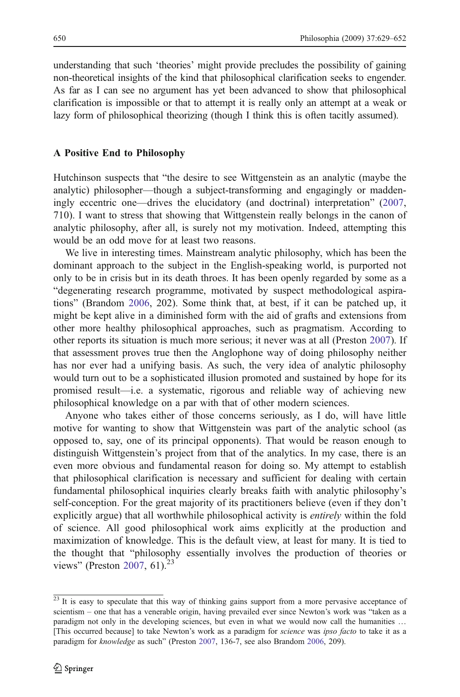understanding that such 'theories' might provide precludes the possibility of gaining non-theoretical insights of the kind that philosophical clarification seeks to engender. As far as I can see no argument has yet been advanced to show that philosophical clarification is impossible or that to attempt it is really only an attempt at a weak or lazy form of philosophical theorizing (though I think this is often tacitly assumed).

#### A Positive End to Philosophy

Hutchinson suspects that "the desire to see Wittgenstein as an analytic (maybe the analytic) philosopher—though a subject-transforming and engagingly or maddeningly eccentric one—drives the elucidatory (and doctrinal) interpretation" ([2007,](#page-23-0) 710). I want to stress that showing that Wittgenstein really belongs in the canon of analytic philosophy, after all, is surely not my motivation. Indeed, attempting this would be an odd move for at least two reasons.

We live in interesting times. Mainstream analytic philosophy, which has been the dominant approach to the subject in the English-speaking world, is purported not only to be in crisis but in its death throes. It has been openly regarded by some as a "degenerating research programme, motivated by suspect methodological aspirations" (Brandom [2006,](#page-22-0) 202). Some think that, at best, if it can be patched up, it might be kept alive in a diminished form with the aid of grafts and extensions from other more healthy philosophical approaches, such as pragmatism. According to other reports its situation is much more serious; it never was at all (Preston [2007](#page-23-0)). If that assessment proves true then the Anglophone way of doing philosophy neither has nor ever had a unifying basis. As such, the very idea of analytic philosophy would turn out to be a sophisticated illusion promoted and sustained by hope for its promised result—i.e. a systematic, rigorous and reliable way of achieving new philosophical knowledge on a par with that of other modern sciences.

Anyone who takes either of those concerns seriously, as I do, will have little motive for wanting to show that Wittgenstein was part of the analytic school (as opposed to, say, one of its principal opponents). That would be reason enough to distinguish Wittgenstein's project from that of the analytics. In my case, there is an even more obvious and fundamental reason for doing so. My attempt to establish that philosophical clarification is necessary and sufficient for dealing with certain fundamental philosophical inquiries clearly breaks faith with analytic philosophy's self-conception. For the great majority of its practitioners believe (even if they don't explicitly argue) that all worthwhile philosophical activity is *entirely* within the fold of science. All good philosophical work aims explicitly at the production and maximization of knowledge. This is the default view, at least for many. It is tied to the thought that "philosophy essentially involves the production of theories or views" (Preston [2007,](#page-23-0) 61). $^{23}$ 

 $\frac{23 \text{ It}}{23 \text{ It}}$  is easy to speculate that this way of thinking gains support from a more pervasive acceptance of scientism – one that has a venerable origin, having prevailed ever since Newton's work was "taken as a paradigm not only in the developing sciences, but even in what we would now call the humanities ... [This occurred because] to take Newton's work as a paradigm for *science* was *ipso facto* to take it as a paradigm for knowledge as such" (Preston [2007,](#page-23-0) 136-7, see also Brandom [2006](#page-22-0), 209).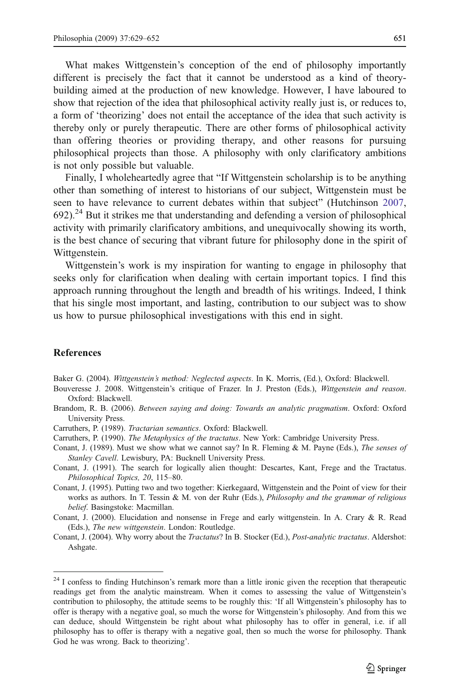<span id="page-22-0"></span>What makes Wittgenstein's conception of the end of philosophy importantly different is precisely the fact that it cannot be understood as a kind of theorybuilding aimed at the production of new knowledge. However, I have laboured to show that rejection of the idea that philosophical activity really just is, or reduces to, a form of 'theorizing' does not entail the acceptance of the idea that such activity is thereby only or purely therapeutic. There are other forms of philosophical activity than offering theories or providing therapy, and other reasons for pursuing philosophical projects than those. A philosophy with only clarificatory ambitions is not only possible but valuable.

Finally, I wholeheartedly agree that "If Wittgenstein scholarship is to be anything other than something of interest to historians of our subject, Wittgenstein must be seen to have relevance to current debates within that subject" (Hutchinson [2007,](#page-23-0)  $692$ ).<sup>24</sup> But it strikes me that understanding and defending a version of philosophical activity with primarily clarificatory ambitions, and unequivocally showing its worth, is the best chance of securing that vibrant future for philosophy done in the spirit of Wittgenstein.

Wittgenstein's work is my inspiration for wanting to engage in philosophy that seeks only for clarification when dealing with certain important topics. I find this approach running throughout the length and breadth of his writings. Indeed, I think that his single most important, and lasting, contribution to our subject was to show us how to pursue philosophical investigations with this end in sight.

#### References

Baker G. (2004). Wittgenstein's method: Neglected aspects. In K. Morris, (Ed.), Oxford: Blackwell.

- Bouveresse J. 2008. Wittgenstein's critique of Frazer. In J. Preston (Eds.), Wittgenstein and reason. Oxford: Blackwell.
- Brandom, R. B. (2006). Between saying and doing: Towards an analytic pragmatism. Oxford: Oxford University Press.
- Carruthers, P. (1989). Tractarian semantics. Oxford: Blackwell.
- Carruthers, P. (1990). The Metaphysics of the tractatus. New York: Cambridge University Press.
- Conant, J. (1989). Must we show what we cannot say? In R. Fleming & M. Payne (Eds.), The senses of Stanley Cavell. Lewisbury, PA: Bucknell University Press.
- Conant, J. (1991). The search for logically alien thought: Descartes, Kant, Frege and the Tractatus. Philosophical Topics, 20, 115–80.
- Conant, J. (1995). Putting two and two together: Kierkegaard, Wittgenstein and the Point of view for their works as authors. In T. Tessin & M. von der Ruhr (Eds.), Philosophy and the grammar of religious belief. Basingstoke: Macmillan.
- Conant, J. (2000). Elucidation and nonsense in Frege and early wittgenstein. In A. Crary & R. Read (Eds.), The new wittgenstein. London: Routledge.

Conant, J. (2004). Why worry about the Tractatus? In B. Stocker (Ed.), Post-analytic tractatus. Aldershot: Ashgate.

<sup>&</sup>lt;sup>24</sup> I confess to finding Hutchinson's remark more than a little ironic given the reception that therapeutic readings get from the analytic mainstream. When it comes to assessing the value of Wittgenstein's contribution to philosophy, the attitude seems to be roughly this: 'If all Wittgenstein's philosophy has to offer is therapy with a negative goal, so much the worse for Wittgenstein's philosophy. And from this we can deduce, should Wittgenstein be right about what philosophy has to offer in general, i.e. if all philosophy has to offer is therapy with a negative goal, then so much the worse for philosophy. Thank God he was wrong. Back to theorizing'.